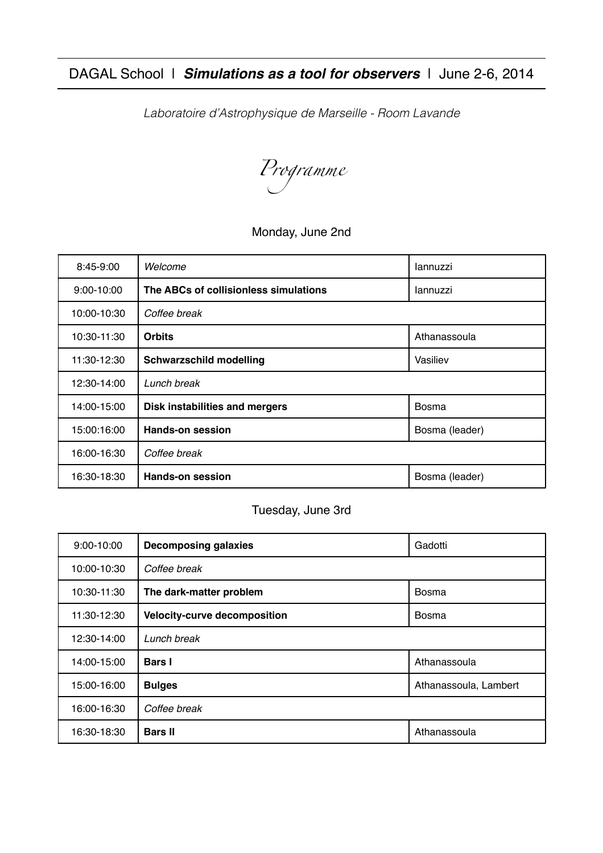DAGAL School |*Simulations as a tool for observers* | June 2-6, 2014

*Laboratoire d'Astrophysique de Marseille - Room Lavande*

*Programme*

#### Monday, June 2nd

| 8:45-9:00   | Welcome                               | lannuzzi       |
|-------------|---------------------------------------|----------------|
| 9:00-10:00  | The ABCs of collisionless simulations | lannuzzi       |
| 10:00-10:30 | Coffee break                          |                |
| 10:30-11:30 | <b>Orbits</b>                         | Athanassoula   |
| 11:30-12:30 | <b>Schwarzschild modelling</b>        | Vasiliev       |
| 12:30-14:00 | Lunch break                           |                |
| 14:00-15:00 | Disk instabilities and mergers        | <b>Bosma</b>   |
| 15:00:16:00 | <b>Hands-on session</b>               | Bosma (leader) |
| 16:00-16:30 | Coffee break                          |                |
| 16:30-18:30 | <b>Hands-on session</b>               | Bosma (leader) |

#### Tuesday, June 3rd

| 9:00-10:00  | <b>Decomposing galaxies</b>  | Gadotti               |
|-------------|------------------------------|-----------------------|
| 10:00-10:30 | Coffee break                 |                       |
| 10:30-11:30 | The dark-matter problem      | Bosma                 |
| 11:30-12:30 | Velocity-curve decomposition | Bosma                 |
| 12:30-14:00 | Lunch break                  |                       |
| 14:00-15:00 | <b>Bars</b> I                | Athanassoula          |
| 15:00-16:00 | <b>Bulges</b>                | Athanassoula, Lambert |
| 16:00-16:30 | Coffee break                 |                       |
| 16:30-18:30 | <b>Bars II</b>               | Athanassoula          |